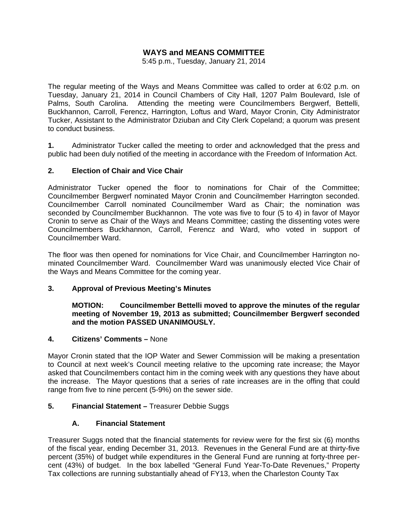# **WAYS and MEANS COMMITTEE**

5:45 p.m., Tuesday, January 21, 2014

The regular meeting of the Ways and Means Committee was called to order at 6:02 p.m. on Tuesday, January 21, 2014 in Council Chambers of City Hall, 1207 Palm Boulevard, Isle of Palms, South Carolina. Attending the meeting were Councilmembers Bergwerf, Bettelli, Buckhannon, Carroll, Ferencz, Harrington, Loftus and Ward, Mayor Cronin, City Administrator Tucker, Assistant to the Administrator Dziuban and City Clerk Copeland; a quorum was present to conduct business.

**1.** Administrator Tucker called the meeting to order and acknowledged that the press and public had been duly notified of the meeting in accordance with the Freedom of Information Act.

#### **2. Election of Chair and Vice Chair**

Administrator Tucker opened the floor to nominations for Chair of the Committee; Councilmember Bergwerf nominated Mayor Cronin and Councilmember Harrington seconded. Councilmember Carroll nominated Councilmember Ward as Chair; the nomination was seconded by Councilmember Buckhannon. The vote was five to four (5 to 4) in favor of Mayor Cronin to serve as Chair of the Ways and Means Committee; casting the dissenting votes were Councilmembers Buckhannon, Carroll, Ferencz and Ward, who voted in support of Councilmember Ward.

The floor was then opened for nominations for Vice Chair, and Councilmember Harrington nominated Councilmember Ward. Councilmember Ward was unanimously elected Vice Chair of the Ways and Means Committee for the coming year.

#### **3. Approval of Previous Meeting's Minutes**

 **MOTION: Councilmember Bettelli moved to approve the minutes of the regular meeting of November 19, 2013 as submitted; Councilmember Bergwerf seconded and the motion PASSED UNANIMOUSLY.** 

#### **4. Citizens' Comments –** None

Mayor Cronin stated that the IOP Water and Sewer Commission will be making a presentation to Council at next week's Council meeting relative to the upcoming rate increase; the Mayor asked that Councilmembers contact him in the coming week with any questions they have about the increase. The Mayor questions that a series of rate increases are in the offing that could range from five to nine percent (5-9%) on the sewer side.

## **5. Financial Statement –** Treasurer Debbie Suggs

## **A. Financial Statement**

Treasurer Suggs noted that the financial statements for review were for the first six (6) months of the fiscal year, ending December 31, 2013. Revenues in the General Fund are at thirty-five percent (35%) of budget while expenditures in the General Fund are running at forty-three percent (43%) of budget. In the box labelled "General Fund Year-To-Date Revenues," Property Tax collections are running substantially ahead of FY13, when the Charleston County Tax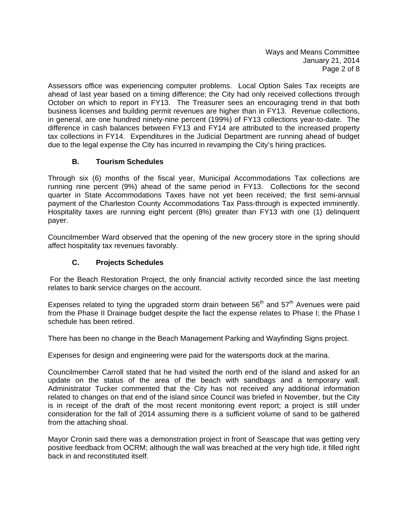Ways and Means Committee January 21, 2014 Page 2 of 8

Assessors office was experiencing computer problems. Local Option Sales Tax receipts are ahead of last year based on a timing difference; the City had only received collections through October on which to report in FY13. The Treasurer sees an encouraging trend in that both business licenses and building permit revenues are higher than in FY13. Revenue collections, in general, are one hundred ninety-nine percent (199%) of FY13 collections year-to-date. The difference in cash balances between FY13 and FY14 are attributed to the increased property tax collections in FY14. Expenditures in the Judicial Department are running ahead of budget due to the legal expense the City has incurred in revamping the City's hiring practices.

# **B. Tourism Schedules**

Through six (6) months of the fiscal year, Municipal Accommodations Tax collections are running nine percent (9%) ahead of the same period in FY13. Collections for the second quarter in State Accommodations Taxes have not yet been received; the first semi-annual payment of the Charleston County Accommodations Tax Pass-through is expected imminently. Hospitality taxes are running eight percent (8%) greater than FY13 with one (1) delinquent payer.

Councilmember Ward observed that the opening of the new grocery store in the spring should affect hospitality tax revenues favorably.

# **C. Projects Schedules**

 For the Beach Restoration Project, the only financial activity recorded since the last meeting relates to bank service charges on the account.

Expenses related to tying the upgraded storm drain between  $56<sup>th</sup>$  and  $57<sup>th</sup>$  Avenues were paid from the Phase II Drainage budget despite the fact the expense relates to Phase I; the Phase I schedule has been retired.

There has been no change in the Beach Management Parking and Wayfinding Signs project.

Expenses for design and engineering were paid for the watersports dock at the marina.

Councilmember Carroll stated that he had visited the north end of the island and asked for an update on the status of the area of the beach with sandbags and a temporary wall. Administrator Tucker commented that the City has not received any additional information related to changes on that end of the island since Council was briefed in November, but the City is in receipt of the draft of the most recent monitoring event report; a project is still under consideration for the fall of 2014 assuming there is a sufficient volume of sand to be gathered from the attaching shoal.

Mayor Cronin said there was a demonstration project in front of Seascape that was getting very positive feedback from OCRM; although the wall was breached at the very high tide, it filled right back in and reconstituted itself.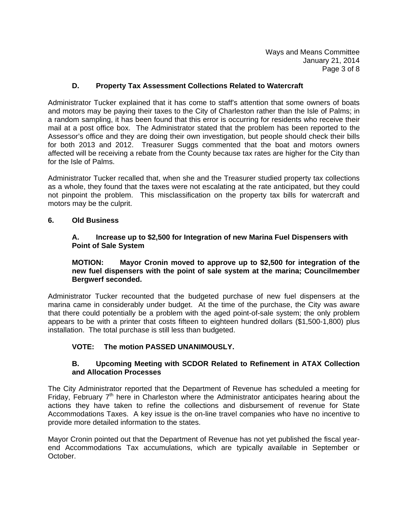Ways and Means Committee January 21, 2014 Page 3 of 8

## **D. Property Tax Assessment Collections Related to Watercraft**

Administrator Tucker explained that it has come to staff's attention that some owners of boats and motors may be paying their taxes to the City of Charleston rather than the Isle of Palms; in a random sampling, it has been found that this error is occurring for residents who receive their mail at a post office box. The Administrator stated that the problem has been reported to the Assessor's office and they are doing their own investigation, but people should check their bills for both 2013 and 2012. Treasurer Suggs commented that the boat and motors owners affected will be receiving a rebate from the County because tax rates are higher for the City than for the Isle of Palms.

Administrator Tucker recalled that, when she and the Treasurer studied property tax collections as a whole, they found that the taxes were not escalating at the rate anticipated, but they could not pinpoint the problem. This misclassification on the property tax bills for watercraft and motors may be the culprit.

## **6. Old Business**

#### **A. Increase up to \$2,500 for Integration of new Marina Fuel Dispensers with Point of Sale System**

#### **MOTION: Mayor Cronin moved to approve up to \$2,500 for integration of the new fuel dispensers with the point of sale system at the marina; Councilmember Bergwerf seconded.**

Administrator Tucker recounted that the budgeted purchase of new fuel dispensers at the marina came in considerably under budget. At the time of the purchase, the City was aware that there could potentially be a problem with the aged point-of-sale system; the only problem appears to be with a printer that costs fifteen to eighteen hundred dollars (\$1,500-1,800) plus installation. The total purchase is still less than budgeted.

## **VOTE: The motion PASSED UNANIMOUSLY.**

#### **B. Upcoming Meeting with SCDOR Related to Refinement in ATAX Collection and Allocation Processes**

The City Administrator reported that the Department of Revenue has scheduled a meeting for Friday, February  $7<sup>th</sup>$  here in Charleston where the Administrator anticipates hearing about the actions they have taken to refine the collections and disbursement of revenue for State Accommodations Taxes. A key issue is the on-line travel companies who have no incentive to provide more detailed information to the states.

Mayor Cronin pointed out that the Department of Revenue has not yet published the fiscal yearend Accommodations Tax accumulations, which are typically available in September or October.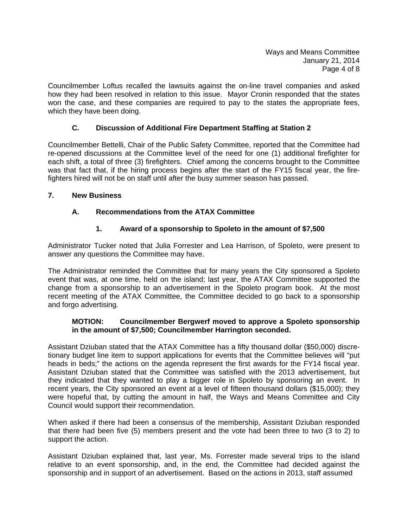Ways and Means Committee January 21, 2014 Page 4 of 8

Councilmember Loftus recalled the lawsuits against the on-line travel companies and asked how they had been resolved in relation to this issue. Mayor Cronin responded that the states won the case, and these companies are required to pay to the states the appropriate fees, which they have been doing.

# **C. Discussion of Additional Fire Department Staffing at Station 2**

Councilmember Bettelli, Chair of the Public Safety Committee, reported that the Committee had re-opened discussions at the Committee level of the need for one (1) additional firefighter for each shift, a total of three (3) firefighters. Chief among the concerns brought to the Committee was that fact that, if the hiring process begins after the start of the FY15 fiscal year, the firefighters hired will not be on staff until after the busy summer season has passed.

#### **7. New Business**

# **A. Recommendations from the ATAX Committee**

# **1. Award of a sponsorship to Spoleto in the amount of \$7,500**

Administrator Tucker noted that Julia Forrester and Lea Harrison, of Spoleto, were present to answer any questions the Committee may have.

The Administrator reminded the Committee that for many years the City sponsored a Spoleto event that was, at one time, held on the island; last year, the ATAX Committee supported the change from a sponsorship to an advertisement in the Spoleto program book. At the most recent meeting of the ATAX Committee, the Committee decided to go back to a sponsorship and forgo advertising.

## **MOTION: Councilmember Bergwerf moved to approve a Spoleto sponsorship in the amount of \$7,500; Councilmember Harrington seconded.**

Assistant Dziuban stated that the ATAX Committee has a fifty thousand dollar (\$50,000) discretionary budget line item to support applications for events that the Committee believes will "put heads in beds;" the actions on the agenda represent the first awards for the FY14 fiscal year. Assistant Dziuban stated that the Committee was satisfied with the 2013 advertisement, but they indicated that they wanted to play a bigger role in Spoleto by sponsoring an event. In recent years, the City sponsored an event at a level of fifteen thousand dollars (\$15,000); they were hopeful that, by cutting the amount in half, the Ways and Means Committee and City Council would support their recommendation.

When asked if there had been a consensus of the membership, Assistant Dziuban responded that there had been five (5) members present and the vote had been three to two (3 to 2) to support the action.

Assistant Dziuban explained that, last year, Ms. Forrester made several trips to the island relative to an event sponsorship, and, in the end, the Committee had decided against the sponsorship and in support of an advertisement. Based on the actions in 2013, staff assumed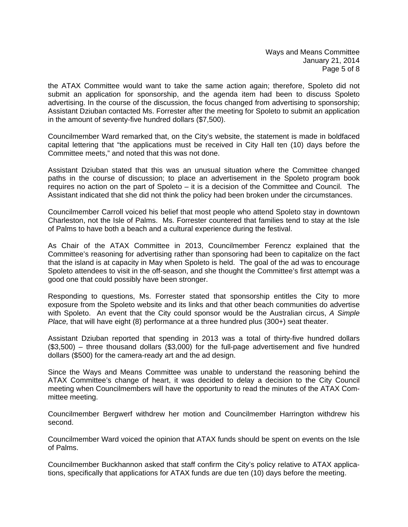the ATAX Committee would want to take the same action again; therefore, Spoleto did not submit an application for sponsorship, and the agenda item had been to discuss Spoleto advertising. In the course of the discussion, the focus changed from advertising to sponsorship; Assistant Dziuban contacted Ms. Forrester after the meeting for Spoleto to submit an application in the amount of seventy-five hundred dollars (\$7,500).

Councilmember Ward remarked that, on the City's website, the statement is made in boldfaced capital lettering that "the applications must be received in City Hall ten (10) days before the Committee meets," and noted that this was not done.

Assistant Dziuban stated that this was an unusual situation where the Committee changed paths in the course of discussion; to place an advertisement in the Spoleto program book requires no action on the part of Spoleto – it is a decision of the Committee and Council. The Assistant indicated that she did not think the policy had been broken under the circumstances.

Councilmember Carroll voiced his belief that most people who attend Spoleto stay in downtown Charleston, not the Isle of Palms. Ms. Forrester countered that families tend to stay at the Isle of Palms to have both a beach and a cultural experience during the festival.

As Chair of the ATAX Committee in 2013, Councilmember Ferencz explained that the Committee's reasoning for advertising rather than sponsoring had been to capitalize on the fact that the island is at capacity in May when Spoleto is held. The goal of the ad was to encourage Spoleto attendees to visit in the off-season, and she thought the Committee's first attempt was a good one that could possibly have been stronger.

Responding to questions, Ms. Forrester stated that sponsorship entitles the City to more exposure from the Spoleto website and its links and that other beach communities do advertise with Spoleto. An event that the City could sponsor would be the Australian circus, *A Simple Place,* that will have eight (8) performance at a three hundred plus (300+) seat theater.

Assistant Dziuban reported that spending in 2013 was a total of thirty-five hundred dollars (\$3,500) – three thousand dollars (\$3,000) for the full-page advertisement and five hundred dollars (\$500) for the camera-ready art and the ad design.

Since the Ways and Means Committee was unable to understand the reasoning behind the ATAX Committee's change of heart, it was decided to delay a decision to the City Council meeting when Councilmembers will have the opportunity to read the minutes of the ATAX Committee meeting.

Councilmember Bergwerf withdrew her motion and Councilmember Harrington withdrew his second.

Councilmember Ward voiced the opinion that ATAX funds should be spent on events on the Isle of Palms.

Councilmember Buckhannon asked that staff confirm the City's policy relative to ATAX applications, specifically that applications for ATAX funds are due ten (10) days before the meeting.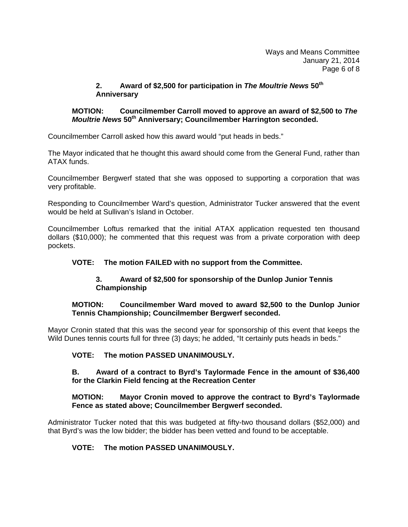## **2. Award of \$2,500 for participation in** *The Moultrie News* **50th Anniversary**

## **MOTION: Councilmember Carroll moved to approve an award of \$2,500 to** *The Moultrie News* **50th Anniversary; Councilmember Harrington seconded.**

Councilmember Carroll asked how this award would "put heads in beds."

The Mayor indicated that he thought this award should come from the General Fund, rather than ATAX funds.

Councilmember Bergwerf stated that she was opposed to supporting a corporation that was very profitable.

Responding to Councilmember Ward's question, Administrator Tucker answered that the event would be held at Sullivan's Island in October.

Councilmember Loftus remarked that the initial ATAX application requested ten thousand dollars (\$10,000); he commented that this request was from a private corporation with deep pockets.

# **VOTE: The motion FAILED with no support from the Committee.**

# **3. Award of \$2,500 for sponsorship of the Dunlop Junior Tennis Championship**

#### **MOTION: Councilmember Ward moved to award \$2,500 to the Dunlop Junior Tennis Championship; Councilmember Bergwerf seconded.**

Mayor Cronin stated that this was the second year for sponsorship of this event that keeps the Wild Dunes tennis courts full for three (3) days; he added, "It certainly puts heads in beds."

## **VOTE: The motion PASSED UNANIMOUSLY.**

#### **B. Award of a contract to Byrd's Taylormade Fence in the amount of \$36,400 for the Clarkin Field fencing at the Recreation Center**

## **MOTION: Mayor Cronin moved to approve the contract to Byrd's Taylormade Fence as stated above; Councilmember Bergwerf seconded.**

Administrator Tucker noted that this was budgeted at fifty-two thousand dollars (\$52,000) and that Byrd's was the low bidder; the bidder has been vetted and found to be acceptable.

## **VOTE: The motion PASSED UNANIMOUSLY.**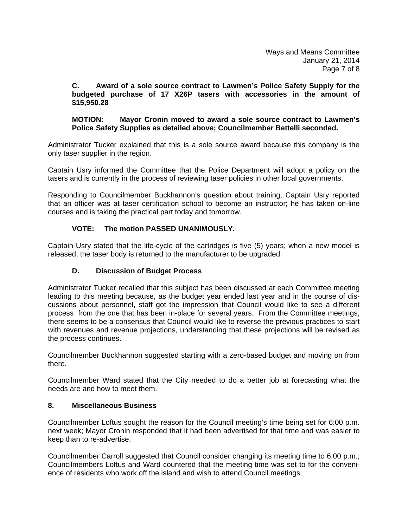#### **C. Award of a sole source contract to Lawmen's Police Safety Supply for the budgeted purchase of 17 X26P tasers with accessories in the amount of \$15,950.28**

#### **MOTION: Mayor Cronin moved to award a sole source contract to Lawmen's Police Safety Supplies as detailed above; Councilmember Bettelli seconded.**

Administrator Tucker explained that this is a sole source award because this company is the only taser supplier in the region.

Captain Usry informed the Committee that the Police Department will adopt a policy on the tasers and is currently in the process of reviewing taser policies in other local governments.

Responding to Councilmember Buckhannon's question about training, Captain Usry reported that an officer was at taser certification school to become an instructor; he has taken on-line courses and is taking the practical part today and tomorrow.

# **VOTE: The motion PASSED UNANIMOUSLY.**

Captain Usry stated that the life-cycle of the cartridges is five (5) years; when a new model is released, the taser body is returned to the manufacturer to be upgraded.

## **D. Discussion of Budget Process**

Administrator Tucker recalled that this subject has been discussed at each Committee meeting leading to this meeting because, as the budget year ended last year and in the course of discussions about personnel, staff got the impression that Council would like to see a different process from the one that has been in-place for several years. From the Committee meetings, there seems to be a consensus that Council would like to reverse the previous practices to start with revenues and revenue projections, understanding that these projections will be revised as the process continues.

Councilmember Buckhannon suggested starting with a zero-based budget and moving on from there.

Councilmember Ward stated that the City needed to do a better job at forecasting what the needs are and how to meet them.

## **8. Miscellaneous Business**

Councilmember Loftus sought the reason for the Council meeting's time being set for 6:00 p.m. next week; Mayor Cronin responded that it had been advertised for that time and was easier to keep than to re-advertise.

Councilmember Carroll suggested that Council consider changing its meeting time to 6:00 p.m.; Councilmembers Loftus and Ward countered that the meeting time was set to for the convenience of residents who work off the island and wish to attend Council meetings.